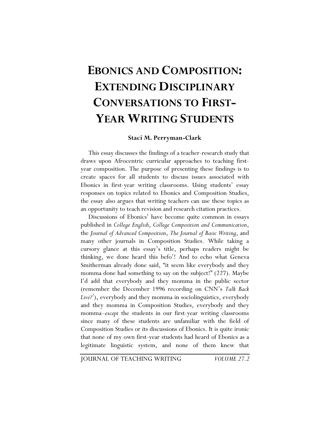# **EBONICS AND COMPOSITION: EXTENDING DISCIPLINARY CONVERSATIONS TO FIRST-YEAR WRITING STUDENTS**

### **Staci M. Perryman-Clark**

This essay discusses the findings of a teacher-research study that draws upon Afrocentric curricular approaches to teaching firstyear composition. The purpose of presenting these findings is to create spaces for all students to discuss issues associated with Ebonics in first-year writing classrooms. Using students' essay responses on topics related to Ebonics and Composition Studies, the essay also argues that writing teachers can use these topics as an opportunity to teach revision and research citation practices.

Discussions of Ebonics<sup>1</sup> have become quite common in essays published in *College English*, *College Composition and Communication*, the *Journal of Advanced Composition*, *The Journal of Basic Writing*, and many other journals in Composition Studies. While taking a cursory glance at this essay's title, perhaps readers might be thinking, we done heard this befo'! And to echo what Geneva Smitherman already done said, "it seem like everybody and they momma done had something to say on the subject!" (227). Maybe I'd add that everybody and they momma in the public sector (remember the December 1996 recording on CNN's *Talk Back*  Live?<sup>2</sup>), everybody and they momma in sociolinguistics, everybody and they momma in Composition Studies, everybody and they momma–*except* the students in our first-year writing classrooms since many of these students are unfamiliar with the field of Composition Studies or its discussions of Ebonics. It is quite ironic that none of my own first-year students had heard of Ebonics as a legitimate linguistic system, and none of them knew that

JOURNAL OF TEACHING WRITING *VOLUME 27.2*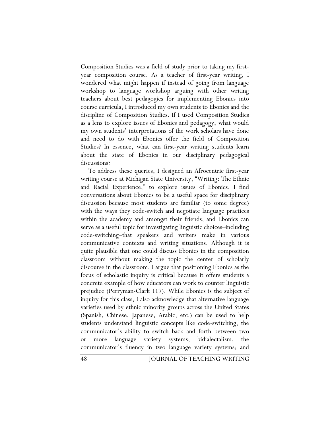Composition Studies was a field of study prior to taking my firstyear composition course. As a teacher of first-year writing, I wondered what might happen if instead of going from language workshop to language workshop arguing with other writing teachers about best pedagogies for implementing Ebonics into course curricula, I introduced my own students to Ebonics and the discipline of Composition Studies. If I used Composition Studies as a lens to explore issues of Ebonics and pedagogy, what would my own students' interpretations of the work scholars have done and need to do with Ebonics offer the field of Composition Studies? In essence, what can first-year writing students learn about the state of Ebonics in our disciplinary pedagogical discussions?

To address these queries, I designed an Afrocentric first-year writing course at Michigan State University, "Writing: The Ethnic and Racial Experience," to explore issues of Ebonics. I find conversations about Ebonics to be a useful space for disciplinary discussion because most students are familiar (to some degree) with the ways they code-switch and negotiate language practices within the academy and amongst their friends, and Ebonics can serve as a useful topic for investigating linguistic choices–including code-switching–that speakers and writers make in various communicative contexts and writing situations. Although it is quite plausible that one could discuss Ebonics in the composition classroom without making the topic the center of scholarly discourse in the classroom, I argue that positioning Ebonics as the focus of scholastic inquiry is critical because it offers students a concrete example of how educators can work to counter linguistic prejudice (Perryman-Clark 117). While Ebonics is the subject of inquiry for this class, I also acknowledge that alternative language varieties used by ethnic minority groups across the United States (Spanish, Chinese, Japanese, Arabic, etc.) can be used to help students understand linguistic concepts like code-switching, the communicator's ability to switch back and forth between two or more language variety systems; bidialectalism, the communicator's fluency in two language variety systems; and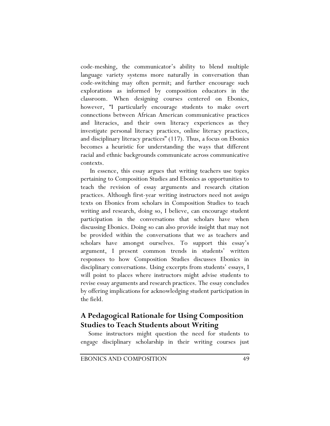code-meshing, the communicator's ability to blend multiple language variety systems more naturally in conversation than code-switching may often permit; and further encourage such explorations as informed by composition educators in the classroom. When designing courses centered on Ebonics, however, "I particularly encourage students to make overt connections between African American communicative practices and literacies, and their own literacy experiences as they investigate personal literacy practices, online literacy practices, and disciplinary literacy practices" (117). Thus, a focus on Ebonics becomes a heuristic for understanding the ways that different racial and ethnic backgrounds communicate across communicative contexts.

 In essence, this essay argues that writing teachers use topics pertaining to Composition Studies and Ebonics as opportunities to teach the revision of essay arguments and research citation practices. Although first-year writing instructors need not assign texts on Ebonics from scholars in Composition Studies to teach writing and research, doing so, I believe, can encourage student participation in the conversations that scholars have when discussing Ebonics. Doing so can also provide insight that may not be provided within the conversations that we as teachers and scholars have amongst ourselves. To support this essay's argument, I present common trends in students' written responses to how Composition Studies discusses Ebonics in disciplinary conversations. Using excerpts from students' essays, I will point to places where instructors might advise students to revise essay arguments and research practices. The essay concludes by offering implications for acknowledging student participation in the field.

## **A Pedagogical Rationale for Using Composition Studies to Teach Students about Writing**

Some instructors might question the need for students to engage disciplinary scholarship in their writing courses just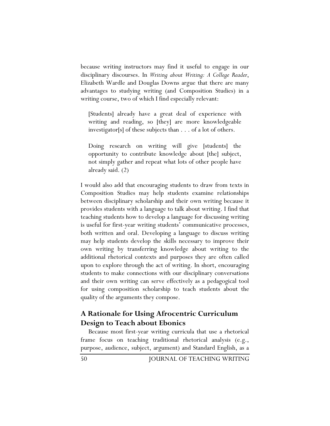because writing instructors may find it useful to engage in our disciplinary discourses. In *Writing about Writing: A College Reader*, Elizabeth Wardle and Douglas Downs argue that there are many advantages to studying writing (and Composition Studies) in a writing course, two of which I find especially relevant:

[Students] already have a great deal of experience with writing and reading, so [they] are more knowledgeable investigator[s] of these subjects than . . . of a lot of others.

Doing research on writing will give [students] the opportunity to contribute knowledge about [the] subject, not simply gather and repeat what lots of other people have already said. (2)

I would also add that encouraging students to draw from texts in Composition Studies may help students examine relationships between disciplinary scholarship and their own writing because it provides students with a language to talk about writing. I find that teaching students how to develop a language for discussing writing is useful for first-year writing students' communicative processes, both written and oral. Developing a language to discuss writing may help students develop the skills necessary to improve their own writing by transferring knowledge about writing to the additional rhetorical contexts and purposes they are often called upon to explore through the act of writing. In short, encouraging students to make connections with our disciplinary conversations and their own writing can serve effectively as a pedagogical tool for using composition scholarship to teach students about the quality of the arguments they compose.

### **A Rationale for Using Afrocentric Curriculum Design to Teach about Ebonics**

Because most first-year writing curricula that use a rhetorical frame focus on teaching traditional rhetorical analysis (e.g., purpose, audience, subject, argument) and Standard English, as a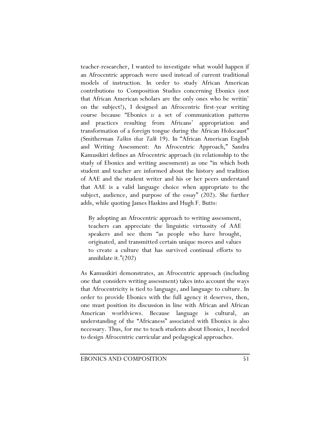teacher-researcher, I wanted to investigate what would happen if an Afrocentric approach were used instead of current traditional models of instruction. In order to study African American contributions to Composition Studies concerning Ebonics (not that African American scholars are the only ones who be writin' on the subject!), I designed an Afrocentric first-year writing course because "Ebonics *is* a set of communication patterns and practices resulting from Africans' appropriation and transformation of a foreign tongue during the African Holocaust" (Smitherman *Talkin that Talk* 19). In "African American English and Writing Assessment: An Afrocentric Approach," Sandra Kamusikiri defines an Afrocentric approach (in relationship to the study of Ebonics and writing assessment) as one "in which both student and teacher are informed about the history and tradition of AAE and the student writer and his or her peers understand that AAE is a valid language choice when appropriate to the subject, audience, and purpose of the essay" (202). She further adds, while quoting James Haskins and Hugh F. Butts:

By adopting an Afrocentric approach to writing assessment, teachers can appreciate the linguistic virtuosity of AAE speakers and see them "as people who have brought, originated, and transmitted certain unique mores and values to create a culture that has survived continual efforts to annihilate it."(202)

As Kamusikiri demonstrates, an Afrocentric approach (including one that considers writing assessment) takes into account the ways that Afrocentricity is tied to language, and language to culture. In order to provide Ebonics with the full agency it deserves, then, one must position its discussion in line with African and African American worldviews. Because language is cultural, understanding of the "Africaness" associated with Ebonics is also necessary. Thus, for me to teach students about Ebonics, I needed to design Afrocentric curricular and pedagogical approaches.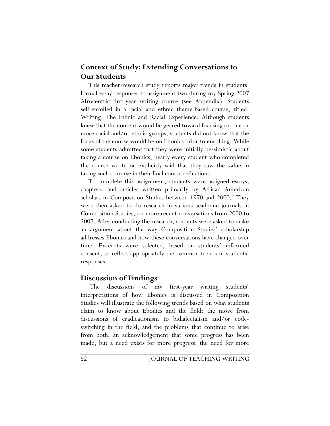### **Context of Study: Extending Conversations to Our Students**

This teacher-research study reports major trends in students' formal essay responses to assignment two during my Spring 2007 Afrocentric first-year writing course (see Appendix). Students self-enrolled in a racial and ethnic theme-based course, titled, Writing: The Ethnic and Racial Experience. Although students knew that the content would be geared toward focusing on one or more racial and/or ethnic groups, students did not know that the focus of the course would be on Ebonics prior to enrolling. While some students admitted that they were initially pessimistic about taking a course on Ebonics, nearly every student who completed the course wrote or explicitly said that they saw the value in taking such a course in their final course reflections.

To complete this assignment, students were assigned essays, chapters, and articles written primarily by African American scholars in Composition Studies between 1970 and 2000.<sup>3</sup> They were then asked to do research in various academic journals in Composition Studies, on more recent conversations from 2000 to 2007. After conducting the research, students were asked to make an argument about the way Composition Studies' scholarship addresses Ebonics and how these conversations have changed over time. Excerpts were selected, based on students' informed consent, to reflect appropriately the common trends in students' responses

### **Discussion of Findings**

 The discussions of my first-year writing students' interpretations of how Ebonics is discussed in Composition Studies will illustrate the following trends based on what students claim to know about Ebonics and the field: the move from discussions of eradicationism to bidialectalism and/or codeswitching in the field, and the problems that continue to arise from both; an acknowledgement that some progress has been made, but a need exists for more progress; the need for more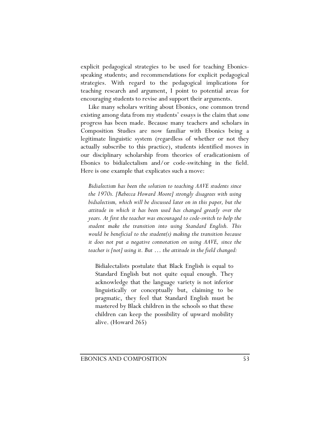explicit pedagogical strategies to be used for teaching Ebonicsspeaking students; and recommendations for explicit pedagogical strategies. With regard to the pedagogical implications for teaching research and argument, I point to potential areas for encouraging students to revise and support their arguments.

Like many scholars writing about Ebonics, one common trend existing among data from my students' essays is the claim that *some* progress has been made. Because many teachers and scholars in Composition Studies are now familiar with Ebonics being a legitimate linguistic system (regardless of whether or not they actually subscribe to this practice), students identified moves in our disciplinary scholarship from theories of eradicationism of Ebonics to bidialectalism and/or code-switching in the field. Here is one example that explicates such a move:

*Bidialectism has been the solution to teaching AAVE students since the 1970s. [Rebecca Howard Moore] strongly disagrees with using bidialectism, which will be discussed later on in this paper, but the attitude in which it has been used has changed greatly over the years. At first the teacher was encouraged to code-switch to help the student make the transition into using Standard English. This would be beneficial to the student(s) making the transition because it does not put a negative connotation on using AAVE, since the teacher is [not] using it. But … the attitude in the field changed:* 

Bidialectalists postulate that Black English is equal to Standard English but not quite equal enough. They acknowledge that the language variety is not inferior linguistically or conceptually but, claiming to be pragmatic, they feel that Standard English must be mastered by Black children in the schools so that these children can keep the possibility of upward mobility alive. (Howard 265)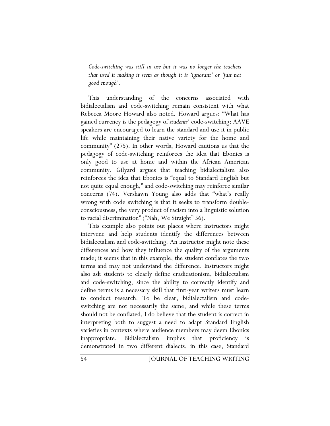*Code-switching was still in use but it was no longer the teachers that used it making it seem as though it is 'ignorant' or 'just not good enough'.* 

This understanding of the concerns associated with bidialectalism and code-switching remain consistent with what Rebecca Moore Howard also noted. Howard argues: "What has gained currency is the pedagogy of *students'* code-switching: AAVE speakers are encouraged to learn the standard and use it in public life while maintaining their native variety for the home and community" (275). In other words, Howard cautions us that the pedagogy of code-switching reinforces the idea that Ebonics is only good to use at home and within the African American community. Gilyard argues that teaching bidialectalism also reinforces the idea that Ebonics is "equal to Standard English but not quite equal enough," and code-switching may reinforce similar concerns (74). Vershawn Young also adds that "what's really wrong with code switching is that it seeks to transform doubleconsciousness, the very product of racism into a linguistic solution to racial discrimination" ("Nah, We Straight" 56).

This example also points out places where instructors might intervene and help students identify the differences between bidialectalism and code-switching. An instructor might note these differences and how they influence the quality of the arguments made; it seems that in this example, the student conflates the two terms and may not understand the difference. Instructors might also ask students to clearly define eradicationism, bidialectalism and code-switching, since the ability to correctly identify and define terms is a necessary skill that first-year writers must learn to conduct research. To be clear, bidialectalism and codeswitching are not necessarily the same, and while these terms should not be conflated, I do believe that the student is correct in interpreting both to suggest a need to adapt Standard English varieties in contexts where audience members may deem Ebonics inappropriate. Bidialectalism implies that proficiency is demonstrated in two different dialects, in this case, Standard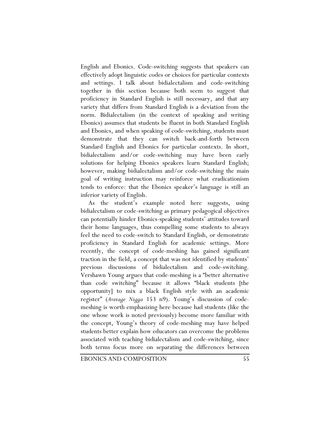English and Ebonics. Code-switching suggests that speakers can effectively adopt linguistic codes or choices for particular contexts and settings. I talk about bidialectalism and code-switching together in this section because both seem to suggest that proficiency in Standard English is still necessary, and that any variety that differs from Standard English is a deviation from the norm. Bidialectalism (in the context of speaking and writing Ebonics) assumes that students be fluent in both Standard English and Ebonics, and when speaking of code-switching, students must demonstrate that they can switch back-and-forth between Standard English and Ebonics for particular contexts. In short, bidialectalism and/or code-switching may have been early solutions for helping Ebonics speakers learn Standard English; however, making bidialectalism and/or code-switching the main goal of writing instruction may reinforce what eradicationism tends to enforce: that the Ebonics speaker's language is still an inferior variety of English.

As the student's example noted here suggests, using bidialectalism or code-switching as primary pedagogical objectives can potentially hinder Ebonics-speaking students' attitudes toward their home languages, thus compelling some students to always feel the need to code-switch to Standard English, or demonstrate proficiency in Standard English for academic settings. More recently, the concept of code-meshing has gained significant traction in the field, a concept that was not identified by students' previous discussions of bidialectalism and code-switching. Vershawn Young argues that code-meshing is a "better alternative than code switching" because it allows "black students [the opportunity] to mix a black English style with an academic register" (*Average Nigga* 153 n9). Young's discussion of codemeshing is worth emphasizing here because had students (like the one whose work is noted previously) become more familiar with the concept, Young's theory of code-meshing may have helped students better explain how educators can overcome the problems associated with teaching bidialectalism and code-switching, since both terms focus more on separating the differences between

EBONICS AND COMPOSITION 55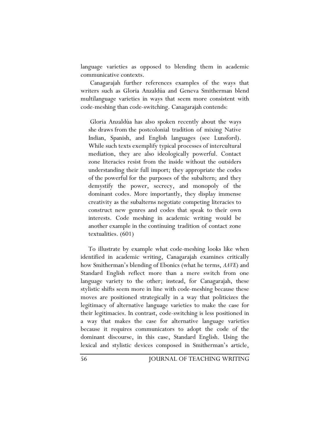language varieties as opposed to blending them in academic communicative contexts.

 Canagarajah further references examples of the ways that writers such as Gloria Anzaldúa and Geneva Smitherman blend multilanguage varieties in ways that seem more consistent with code-meshing than code-switching. Canagarajah contends:

 Gloria Anzaldúa has also spoken recently about the ways she draws from the postcolonial tradition of mixing Native Indian, Spanish, and English languages (see Lunsford). While such texts exemplify typical processes of intercultural mediation, they are also ideologically powerful. Contact zone literacies resist from the inside without the outsiders understanding their full import; they appropriate the codes of the powerful for the purposes of the subaltern; and they demystify the power, secrecy, and monopoly of the dominant codes. More importantly, they display immense creativity as the subalterns negotiate competing literacies to construct new genres and codes that speak to their own interests. Code meshing in academic writing would be another example in the continuing tradition of contact zone textualities. (601)

To illustrate by example what code-meshing looks like when identified in academic writing, Canagarajah examines critically how Smitherman's blending of Ebonics (what he terms, *AAVE*) and Standard English reflect more than a mere switch from one language variety to the other; instead, for Canagarajah, these stylistic shifts seem more in line with code-meshing because these moves are positioned strategically in a way that politicizes the legitimacy of alternative language varieties to make the case for their legitimacies. In contrast, code-switching is less positioned in a way that makes the case for alternative language varieties because it requires communicators to adopt the code of the dominant discourse, in this case, Standard English. Using the lexical and stylistic devices composed in Smitherman's article,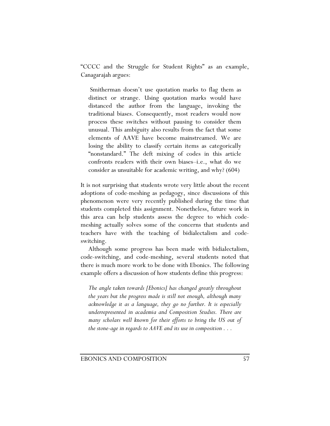"CCCC and the Struggle for Student Rights" as an example, Canagarajah argues:

 Smitherman doesn't use quotation marks to flag them as distinct or strange. Using quotation marks would have distanced the author from the language, invoking the traditional biases. Consequently, most readers would now process these switches without pausing to consider them unusual. This ambiguity also results from the fact that some elements of AAVE have become mainstreamed. We are losing the ability to classify certain items as categorically "nonstandard." The deft mixing of codes in this article confronts readers with their own biases–i.e., what do we consider as unsuitable for academic writing, and why? (604)

It is not surprising that students wrote very little about the recent adoptions of code-meshing as pedagogy, since discussions of this phenomenon were very recently published during the time that students completed this assignment. Nonetheless, future work in this area can help students assess the degree to which codemeshing actually solves some of the concerns that students and teachers have with the teaching of bidialectalism and codeswitching.

Although some progress has been made with bidialectalism, code-switching, and code-meshing, several students noted that there is much more work to be done with Ebonics. The following example offers a discussion of how students define this progress:

*The angle taken towards [Ebonics] has changed greatly throughout the years but the progress made is still not enough, although many acknowledge it as a language, they go no further. It is especially underrepresented in academia and Composition Studies. There are*  many scholars well known for their efforts to bring the US out of *the stone-age in regards to AAVE and its use in composition . . .*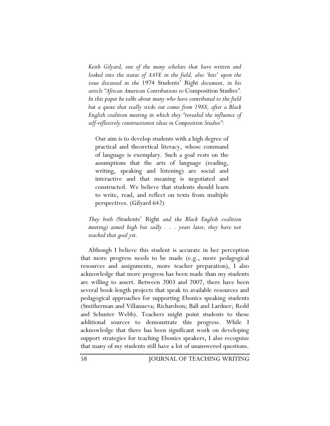*Keith Gilyard, one of the many scholars that have written and looked into the status of AAVE in the field, also 'hits' upon the issue discussed in the* 1974 Students' Right *document, in his article "African American Contributions to* Composition Studies*". In this paper he talks about many who have contributed to the field but a quote that really sticks out comes from 1988, after a Black English coalition meeting in which they "revealed the influence of self-reflexively constructionist ideas in Composition Studies":*

Our aim is to develop students with a high degree of practical and theoretical literacy, whose command of language is exemplary. Such a goal rests on the assumptions that the arts of language (reading, writing, speaking and listening) are social and interactive and that meaning is negotiated and constructed. We believe that students should learn to write, read, and reflect on texts from multiple perspectives. (Gilyard 642)

*They both (*Students' Right *and the Black English coalition meeting) aimed high but sadly . . . years later, they have not reached that goal yet.* 

Although I believe this student is accurate in her perception that more progress needs to be made (e.g., more pedagogical resources and assignments, more teacher preparation), I also acknowledge that more progress has been made than my students are willing to assert. Between 2003 and 2007, there have been several book-length projects that speak to available resources and pedagogical approaches for supporting Ebonics speaking students (Smitherman and Villanueva; Richardson; Ball and Lardner; Redd and Schuster Webb). Teachers might point students to these additional sources to demonstrate this progress. While I acknowledge that there has been significant work on developing support strategies for teaching Ebonics speakers, I also recognize that many of my students still have a lot of unanswered questions.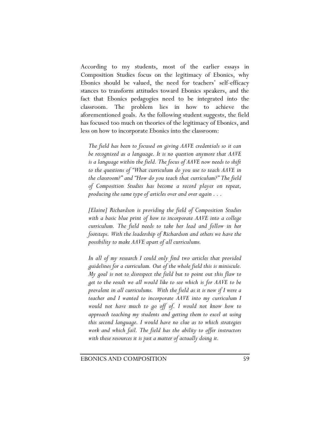According to my students, most of the earlier essays in Composition Studies focus on the legitimacy of Ebonics, why Ebonics should be valued, the need for teachers' self-efficacy stances to transform attitudes toward Ebonics speakers, and the fact that Ebonics pedagogies need to be integrated into the classroom. The problem lies in how to achieve the aforementioned goals. As the following student suggests, the field has focused too much on theories of the legitimacy of Ebonics, and less on how to incorporate Ebonics into the classroom:

*The field has been to focused on giving AAVE credentials so it can be recognized as a language. It is no question anymore that AAVE is a language within the field. The focus of AAVE now needs to shift to the questions of "What curriculum do you use to teach AAVE in the classroom?" and "How do you teach that curriculum?" The field of Composition Studies has become a record player on repeat, producing the same type of articles over and over again . . .* 

*[Elaine] Richardson is providing the field of Composition Studies with a basic blue print of how to incorporate AAVE into a college curriculum. The field needs to take her lead and follow in her footsteps. With the leadership of Richardson and others we have the possibility to make AAVE apart of all curriculums.* 

*In all of my research I could only find two articles that provided guidelines for a curriculum. Out of the whole field this is miniscule. My goal is not to disrespect the field but to point out this flaw to get to the result we all would like to see which is for AAVE to be prevalent in all curriculums. With the field as it is now if I were a teacher and I wanted to incorporate AAVE into my curriculum I would not have much to go off of. I would not know how to approach teaching my students and getting them to excel at using this second language. I would have no clue as to which strategies work and which fail. The field has the ability to offer instructors with these resources it is just a matter of actually doing it.*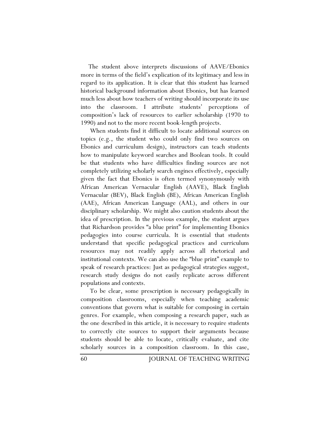The student above interprets discussions of AAVE/Ebonics more in terms of the field's explication of its legitimacy and less in regard to its application. It is clear that this student has learned historical background information about Ebonics, but has learned much less about how teachers of writing should incorporate its use into the classroom. I attribute students' perceptions of composition's lack of resources to earlier scholarship (1970 to 1990) and not to the more recent book-length projects.

 When students find it difficult to locate additional sources on topics (e.g., the student who could only find two sources on Ebonics and curriculum design), instructors can teach students how to manipulate keyword searches and Boolean tools. It could be that students who have difficulties finding sources are not completely utilizing scholarly search engines effectively, especially given the fact that Ebonics is often termed synonymously with African American Vernacular English (AAVE), Black English Vernacular (BEV), Black English (BE), African American English (AAE), African American Language (AAL), and others in our disciplinary scholarship. We might also caution students about the idea of prescription. In the previous example, the student argues that Richardson provides "a blue print" for implementing Ebonics pedagogies into course curricula. It is essential that students understand that specific pedagogical practices and curriculum resources may not readily apply across all rhetorical and institutional contexts. We can also use the "blue print" example to speak of research practices: Just as pedagogical strategies suggest, research study designs do not easily replicate across different populations and contexts.

 To be clear, some prescription is necessary pedagogically in composition classrooms, especially when teaching academic conventions that govern what is suitable for composing in certain genres. For example, when composing a research paper, such as the one described in this article, it is necessary to require students to correctly cite sources to support their arguments because students should be able to locate, critically evaluate, and cite scholarly sources in a composition classroom. In this case,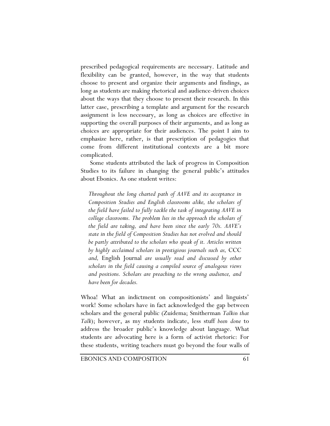prescribed pedagogical requirements are necessary. Latitude and flexibility can be granted, however, in the way that students choose to present and organize their arguments and findings, as long as students are making rhetorical and audience-driven choices about the ways that they choose to present their research. In this latter case, prescribing a template and argument for the research assignment is less necessary, as long as choices are effective in supporting the overall purposes of their arguments, and as long as choices are appropriate for their audiences. The point I aim to emphasize here, rather, is that prescription of pedagogies that come from different institutional contexts are a bit more complicated.

 Some students attributed the lack of progress in Composition Studies to its failure in changing the general public's attitudes about Ebonics. As one student writes:

*Throughout the long charted path of AAVE and its acceptance in Composition Studies and English classrooms alike, the scholars of the field have failed to fully tackle the task of integrating AAVE in college classrooms. The problem lies in the approach the scholars of the field are taking, and have been since the early 70s. AAVE's state in the field of Composition Studies has not evolved and should be partly attributed to the scholars who speak of it. Articles written by highly acclaimed scholars in prestigious journals such as,* CCC *and,* English Journal *are usually read and discussed by other scholars in the field causing a compiled source of analogous views and positions. Scholars are preaching to the wrong audience, and have been for decades.* 

Whoa! What an indictment on compositionists' and linguists' work! Some scholars have in fact acknowledged the gap between scholars and the general public (Zuidema; Smitherman *Talkin that Talk*); however, as my students indicate, less stuff *been done* to address the broader public's knowledge about language. What students are advocating here is a form of activist rhetoric: For these students, writing teachers must go beyond the four walls of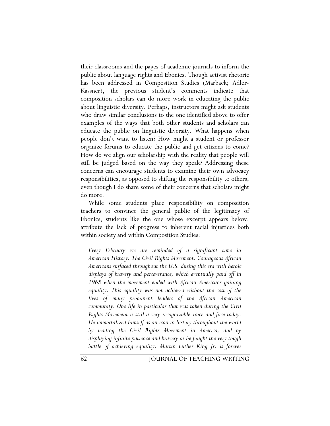their classrooms and the pages of academic journals to inform the public about language rights and Ebonics. Though activist rhetoric has been addressed in Composition Studies (Marback; Adler-Kassner), the previous student's comments indicate that composition scholars can do more work in educating the public about linguistic diversity. Perhaps, instructors might ask students who draw similar conclusions to the one identified above to offer examples of the ways that both other students and scholars can educate the public on linguistic diversity. What happens when people don't want to listen? How might a student or professor organize forums to educate the public and get citizens to come? How do we align our scholarship with the reality that people will still be judged based on the way they speak? Addressing these concerns can encourage students to examine their own advocacy responsibilities, as opposed to shifting the responsibility to others, even though I do share some of their concerns that scholars might do more.

While some students place responsibility on composition teachers to convince the general public of the legitimacy of Ebonics, students like the one whose excerpt appears below, attribute the lack of progress to inherent racial injustices both within society and within Composition Studies:

*Every February we are reminded of a significant time in American History: The Civil Rights Movement. Courageous African Americans surfaced throughout the U.S. during this era with heroic displays of bravery and perseverance, which eventually paid off in 1968 when the movement ended with African Americans gaining equality. This equality was not achieved without the cost of the lives of many prominent leaders of the African American community. One life in particular that was taken during the Civil Rights Movement is still a very recognizable voice and face today. He immortalized himself as an icon in history throughout the world by leading the Civil Rights Movement in America, and by displaying infinite patience and bravery as he fought the very tough battle of achieving equality. Martin Luther King Jr. is forever*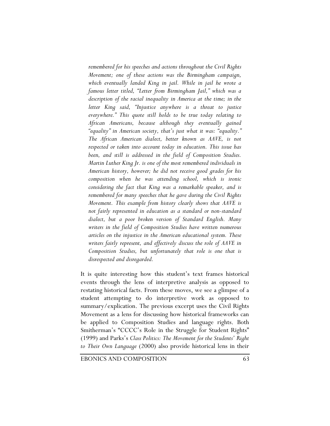*remembered for his speeches and actions throughout the Civil Rights Movement; one of these actions was the Birmingham campaign, which eventually landed King in jail. While in jail he wrote a famous letter titled, "Letter from Birmingham Jail," which was a description of the racial inequality in America at the time; in the letter King said, "Injustice anywhere is a threat to justice everywhere." This quote still holds to be true today relating to African Americans, because although they eventually gained "equality" in American society, that's just what it was: "equality." The African American dialect, better known as AAVE, is not respected or taken into account today in education. This issue has been, and still is addressed in the field of Composition Studies. Martin Luther King Jr. is one of the most remembered individuals in American history, however; he did not receive good grades for his composition when he was attending school, which is ironic considering the fact that King was a remarkable speaker, and is remembered for many speeches that he gave during the Civil Rights Movement. This example from history clearly shows that AAVE is not fairly represented in education as a standard or non-standard dialect, but a poor broken version of Standard English. Many writers in the field of Composition Studies have written numerous articles on the injustice in the American educational system. These writers fairly represent, and effectively discuss the role of AAVE in Composition Studies, but unfortunately that role is one that is disrespected and disregarded.* 

It is quite interesting how this student's text frames historical events through the lens of interpretive analysis as opposed to restating historical facts. From these moves, we see a glimpse of a student attempting to do interpretive work as opposed to summary/explication. The previous excerpt uses the Civil Rights Movement as a lens for discussing how historical frameworks can be applied to Composition Studies and language rights. Both Smitherman's "CCCC's Role in the Struggle for Student Rights" (1999) and Parks's *Class Politics: The Movement for the Students' Right to Their Own Language* (2000) also provide historical lens in their

EBONICS AND COMPOSITION 63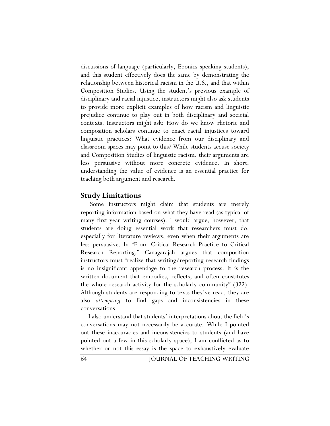discussions of language (particularly, Ebonics speaking students), and this student effectively does the same by demonstrating the relationship between historical racism in the U.S., and that within Composition Studies. Using the student's previous example of disciplinary and racial injustice, instructors might also ask students to provide more explicit examples of how racism and linguistic prejudice continue to play out in both disciplinary and societal contexts. Instructors might ask: How do we know rhetoric and composition scholars continue to enact racial injustices toward linguistic practices? What evidence from our disciplinary and classroom spaces may point to this? While students accuse society and Composition Studies of linguistic racism, their arguments are less persuasive without more concrete evidence. In short, understanding the value of evidence is an essential practice for teaching both argument and research.

### **Study Limitations**

 Some instructors might claim that students are merely reporting information based on what they have read (as typical of many first-year writing courses). I would argue, however, that students are doing essential work that researchers must do, especially for literature reviews, even when their arguments are less persuasive. In "From Critical Research Practice to Critical Research Reporting," Canagarajah argues that composition instructors must "realize that writing/reporting research findings is no insignificant appendage to the research process. It is the written document that embodies, reflects, and often constitutes the whole research activity for the scholarly community" (322). Although students are responding to texts they've read, they are also *attempting* to find gaps and inconsistencies in these conversations.

I also understand that students' interpretations about the field's conversations may not necessarily be accurate. While I pointed out these inaccuracies and inconsistencies to students (and have pointed out a few in this scholarly space), I am conflicted as to whether or not this essay is the space to exhaustively evaluate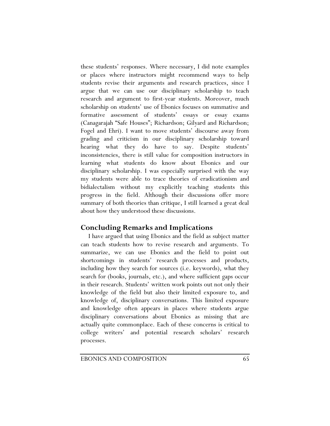these students' responses. Where necessary, I did note examples or places where instructors might recommend ways to help students revise their arguments and research practices, since I argue that we can use our disciplinary scholarship to teach research and argument to first-year students. Moreover, much scholarship on students' use of Ebonics focuses on summative and formative assessment of students' essays or essay exams (Canagarajah "Safe Houses"; Richardson; Gilyard and Richardson; Fogel and Ehri). I want to move students' discourse away from grading and criticism in our disciplinary scholarship toward hearing what they do have to say. Despite students' inconsistencies, there is still value for composition instructors in learning what students do know about Ebonics and our disciplinary scholarship. I was especially surprised with the way my students were able to trace theories of eradicationism and bidialectalism without my explicitly teaching students this progress in the field. Although their discussions offer more summary of both theories than critique, I still learned a great deal about how they understood these discussions.

### **Concluding Remarks and Implications**

I have argued that using Ebonics and the field as subject matter can teach students how to revise research and arguments. To summarize, we can use Ebonics and the field to point out shortcomings in students' research processes and products, including how they search for sources (i.e. keywords), what they search for (books, journals, etc.), and where sufficient gaps occur in their research. Students' written work points out not only their knowledge of the field but also their limited exposure to, and knowledge of, disciplinary conversations. This limited exposure and knowledge often appears in places where students argue disciplinary conversations about Ebonics as missing that are actually quite commonplace. Each of these concerns is critical to college writers' and potential research scholars' research processes.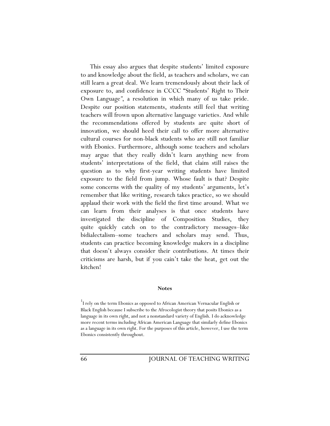This essay also argues that despite students' limited exposure to and knowledge about the field, as teachers and scholars, we can still learn a great deal. We learn tremendously about their lack of exposure to, and confidence in CCCC "Students' Right to Their Own Language*"*, a resolution in which many of us take pride. Despite our position statements, students still feel that writing teachers will frown upon alternative language varieties. And while the recommendations offered by students are quite short of innovation, we should heed their call to offer more alternative cultural courses for non-black students who are still not familiar with Ebonics. Furthermore, although some teachers and scholars may argue that they really didn't learn anything new from students' interpretations of the field, that claim still raises the question as to why first-year writing students have limited exposure to the field from jump. Whose fault is that? Despite some concerns with the quality of my students' arguments, let's remember that like writing, research takes practice, so we should applaud their work with the field the first time around. What we can learn from their analyses is that once students have investigated the discipline of Composition Studies, they quite quickly catch on to the contradictory messages–like bidialectalism–some teachers and scholars may send. Thus, students can practice becoming knowledge makers in a discipline that doesn't always consider their contributions. At times their criticisms are harsh, but if you cain't take the heat, get out the kitchen!

#### **Notes**

1 I rely on the term Ebonics as opposed to African American Vernacular English or Black English because I subscribe to the Afrocologist theory that posits Ebonics as a language in its own right, and not a nonstandard variety of English. I do acknowledge more recent terms including African American Language that similarly define Ebonics as a language in its own right. For the purposes of this article, however, I use the term Ebonics consistently throughout.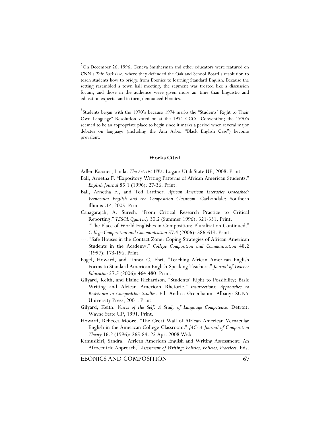2 On December 26, 1996, Geneva Smitherman and other educators were featured on CNN's *Talk Back Live*, where they defended the Oakland School Board's resolution to teach students how to bridge from Ebonics to learning Standard English. Because the setting resembled a town hall meeting, the segment was treated like a discussion forum, and those in the audience were given more air time than linguistic and education experts, and in turn, denounced Ebonics.

<sup>3</sup>Students began with the 1970's because 1974 marks the "Students' Right to Their Own Language" Resolution voted on at the 1974 CCCC Convention; the 1970's seemed to be an appropriate place to begin since it marks a period when several major debates on language (including the Ann Arbor "Black English Case") become prevalent.

### **Works Cited**

Adler-Kassner, Linda. *The Activist WPA*. Logan: Utah State UP, 2008. Print.

- Ball, Arnetha F. "Expository Writing Patterns of African American Students." *English Journal* 85.1 (1996): 27-36. Print.
- Ball, Arnetha F., and Ted Lardner*. African American Literacies Unleashed: Vernacular English and the Composition Classroom*. Carbondale: Southern Illinois UP, 2005. Print.
- Canagarajah, A. Suresh. "From Critical Research Practice to Critical Reporting." *TESOL Quarterly* 30.2 (Summer 1996): 321-331. Print.
- ---. "The Place of World Englishes in Composition: Pluralization Continued." *College Composition and Communication* 57.4 (2006): 586-619. Print.
- ---. "Safe Houses in the Contact Zone: Coping Strategies of African-American Students in the Academy." *College Composition and Communication* 48.2 (1997): 173-196. Print.
- Fogel, Howard, and Linnea C. Ehri. "Teaching African American English Forms to Standard American English-Speaking Teachers." *Journal of Teacher Education* 57.5 (2006): 464-480. Print.
- Gilyard, Keith, and Elaine Richardson. "Students' Right to Possibility: Basic Writing and African American Rhetoric*." Insurrections: Approaches to Resistance in Composition Studies*. Ed. Andrea Greenbaum. Albany: SUNY University Press, 2001. Print.
- Gilyard, Keith. *Voices of the Self: A Study of Language Competence*. Detroit: Wayne State UP, 1991. Print.
- Howard, Rebecca Moore. "The Great Wall of African American Vernacular English in the American College Classroom." *JAC: A Journal of Composition Theory* 16.2 (1996): 265-84. 25 Apr. 2008 Web.
- Kamusikiri, Sandra. "African American English and Writing Assessment: An Afrocentric Approach." *Assessment of Writing: Politics, Policies, Practices*. Eds.

EBONICS AND COMPOSITION 67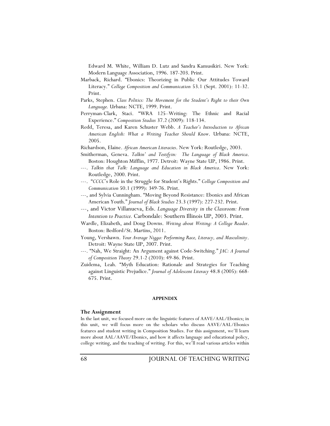Edward M. White, William D. Lutz and Sandra Kamusikiri. New York: Modern Language Association, 1996. 187-203. Print.

- Marback, Richard. "Ebonics: Theorizing in Public Our Attitudes Toward Literacy." *College Composition and Communication* 53.1 (Sept. 2001): 11-32. Print.
- Parks, Stephen. *Class Politics: The Movement for the Student's Right to their Own Language.* Urbana: NCTE, 1999. Print.
- Perryman-Clark, Staci. "WRA 125–Writing: The Ethnic and Racial Experience." *Composition Studies* 37.2 (2009): 118-134.
- Redd, Teresa, and Karen Schuster Webb. *A Teacher's Introduction to African American English: What a Writing Teacher Should Know*. Urbana: NCTE, 2005.
- Richardson, Elaine. *African American Literacies*. New York: Routledge, 2003.
- Smitherman, Geneva. *Talkin' and Testifyin: The Language of Black America*. Boston: Houghton Mifflin, 1977. Detroit: Wayne State UP, 1986. Print.
- ---. *Talkin that Talk: Language and Education in Black America*. New York: Routledge, 2000. Print.
- ---. "*CCCC*'s Role in the Struggle for Student's Rights." *College Composition and Communication* 50.1 (1999): 349-76. Print.
- ---, and Sylvia Cunningham. "Moving Beyond Resistance: Ebonics and African American Youth." *Journal of Black Studies* 23.3 (1997): 227-232. Print.
- ---, and Victor Villanueva, Eds. *Language Diversity in the Classroom: From Intention to Practice.* Carbondale: Southern Illinois UP, 2003. Print.
- Wardle, Elizabeth, and Doug Downs. *Writing about Writing: A College Reader*. Boston: Bedford/St. Martins, 2011.
- Young, Vershawn. *Your Average Nigga: Performing Race, Literacy, and Masculinity*. Detroit: Wayne State UP, 2007. Print.
- ---. "Nah, We Straight: An Argument against Code-Switching." *JAC: A Journal of Composition Theory* 29.1-2 (2010): 49-86. Print.
- Zuidema, Leah. "Myth Education: Rationale and Strategies for Teaching against Linguistic Prejudice." *Journal of Adolescent Literacy* 48.8 (2005): 668- 675. Print.

#### **APPENDIX**

#### **The Assignment**

In the last unit, we focused more on the linguistic features of AAVE/AAL/Ebonics; in this unit, we will focus more on the scholars who discuss AAVE/AAL/Ebonics features and student writing in Composition Studies. For this assignment, we'll learn more about AAL/AAVE/Ebonics, and how it affects language and educational policy, college writing, and the teaching of writing. For this, we'll read various articles within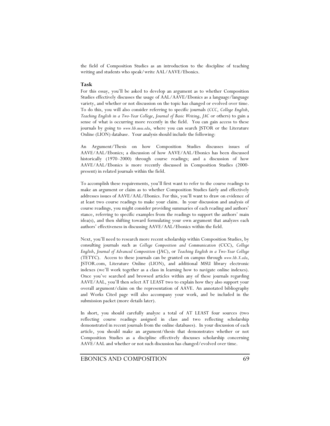the field of Composition Studies as an introduction to the discipline of teaching writing and students who speak/write AAL/AAVE/Ebonics.

### **Task**

For this essay, you'll be asked to develop an argument as to whether Composition Studies effectively discusses the usage of AAL/AAVE/Ebonics as a language/language variety, and whether or not discussion on the topic has changed or evolved over time. To do this, you will also consider referring to specific journals (*CCC*, *College English*, *Teaching English in a Two-Year College*, *Journal of Basic Writing*, *JAC* or others) to gain a sense of what is occurring more recently in the field. You can gain access to these journals by going to *www.lib.msu.edu*, where you can search JSTOR or the Literature Online (LION) database. Your analysis should include the following:

An Argument/Thesis on how Composition Studies discusses issues of AAVE/AAL/Ebonics; a discussion of how AAVE/AAL/Ebonics has been discussed historically (1970–2000) through course readings; and a discussion of how AAVE/AAL/Ebonics is more recently discussed in Composition Studies (2000 present) in related journals within the field.

To accomplish these requirements, you'll first want to refer to the course readings to make an argument or claim as to whether Composition Studies fairly and effectively addresses issues of AAVE/AAL/Ebonics. For this, you'll want to draw on evidence of at least two course readings to make your claim. In your discussion and analysis of course readings, you might consider providing summaries of each reading and authors' stance, referring to specific examples from the readings to support the authors' main idea(s), and then shifting toward formulating your own argument that analyzes each authors' effectiveness in discussing AAVE/AAL/Ebonics within the field.

Next, you'll need to research more recent scholarship within Composition Studies, by consulting journals such as *College Composition and Communication* (CCC), *College English*, *Journal of Advanced Composition* (JAC), or *Teaching English in a Two-Year College* (TETYC). Access to these journals can be granted on campus through *www.lib.X.edu*, JSTOR.com, Literature Online (LION), and additional MSU library electronic indexes (we'll work together as a class in learning how to navigate online indexes). Once you've searched and browsed articles within any of these journals regarding AAVE/AAL, you'll then select AT LEAST two to explain how they also support your overall argument/claim on the representation of AAVE. An annotated bibliography and Works Cited page will also accompany your work, and be included in the submission packet (more details later).

In short, you should carefully analyze a total of AT LEAST four sources (two reflecting course readings assigned in class and two reflecting scholarship demonstrated in recent journals from the online databases). In your discussion of each article, you should make an argument/thesis that demonstrates whether or not Composition Studies as a discipline effectively discusses scholarship concerning AAVE/AAL and whether or not such discussion has changed/evolved over time.